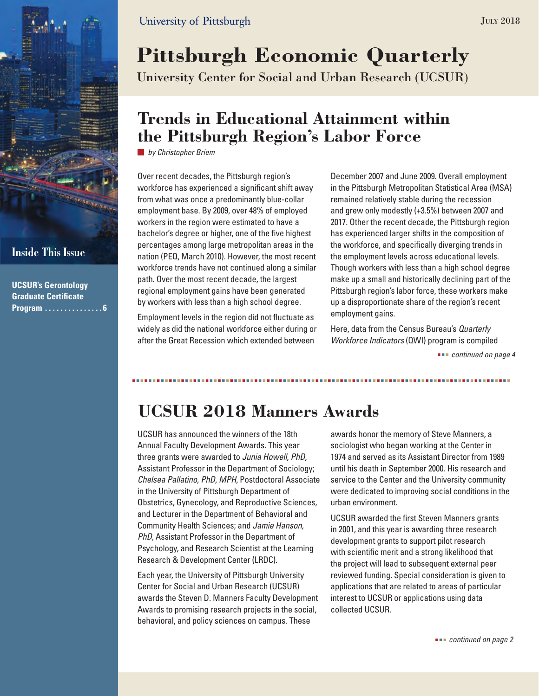

**UCSUR's Gerontology Graduate Certificate Program . . . . . . . . . . . . . . 6** March 2012

# **Pittsburgh Economic Quarterly**

University Center for Social and Urban Research (UCSUR)

### **Trends in Educational Attainment within the Pittsburgh Region's Labor Force**

*by Christopher Briem*

Over recent decades, the Pittsburgh region's workforce has experienced a significant shift away from what was once a predominantly blue-collar employment base. By 2009, over 48% of employed workers in the region were estimated to have a bachelor's degree or higher, one of the five highest percentages among large metropolitan areas in the nation (PEQ, March 2010). However, the most recent workforce trends have not continued along a similar path. Over the most recent decade, the largest regional employment gains have been generated by workers with less than a high school degree.

Employment levels in the region did not fluctuate as widely as did the national workforce either during or after the Great Recession which extended between

December 2007 and June 2009. Overall employment in the Pittsburgh Metropolitan Statistical Area (MSA) remained relatively stable during the recession and grew only modestly (+3.5%) between 2007 and 2017. Other the recent decade, the Pittsburgh region has experienced larger shifts in the composition of the workforce, and specifically diverging trends in the employment levels across educational levels. Though workers with less than a high school degree make up a small and historically declining part of the Pittsburgh region's labor force, these workers make up a disproportionate share of the region's recent employment gains.

Here, data from the Census Bureau's *Quarterly Workforce Indicators* (QWI) program is compiled

 *continued on page 4*

## **UCSUR 2018 Manners Awards**

UCSUR has announced the winners of the 18th Annual Faculty Development Awards. This year three grants were awarded to *Junia Howell, PhD,* Assistant Professor in the Department of Sociology; *Chelsea Pallatino, PhD, MPH,* Postdoctoral Associate in the University of Pittsburgh Department of Obstetrics, Gynecology, and Reproductive Sciences, and Lecturer in the Department of Behavioral and Community Health Sciences; and *Jamie Hanson, PhD,* Assistant Professor in the Department of Psychology, and Research Scientist at the Learning Research & Development Center (LRDC).

Each year, the University of Pittsburgh University Center for Social and Urban Research (UCSUR) awards the Steven D. Manners Faculty Development Awards to promising research projects in the social, behavioral, and policy sciences on campus. These

awards honor the memory of Steve Manners, a sociologist who began working at the Center in 1974 and served as its Assistant Director from 1989 until his death in September 2000. His research and service to the Center and the University community were dedicated to improving social conditions in the urban environment.

UCSUR awarded the first Steven Manners grants in 2001, and this year is awarding three research development grants to support pilot research with scientific merit and a strong likelihood that the project will lead to subsequent external peer reviewed funding. Special consideration is given to applications that are related to areas of particular interest to UCSUR or applications using data collected UCSUR.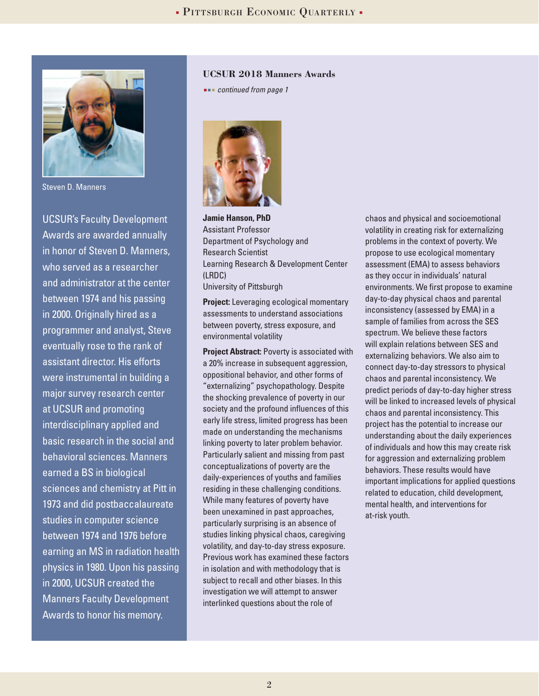

Steven D. Manners

UCSUR's Faculty Development Awards are awarded annually in honor of Steven D. Manners, who served as a researcher and administrator at the center between 1974 and his passing in 2000. Originally hired as a programmer and analyst, Steve eventually rose to the rank of assistant director. His efforts were instrumental in building a major survey research center at UCSUR and promoting interdisciplinary applied and basic research in the social and behavioral sciences. Manners earned a BS in biological sciences and chemistry at Pitt in 1973 and did postbaccalaureate studies in computer science between 1974 and 1976 before earning an MS in radiation health physics in 1980. Upon his passing in 2000, UCSUR created the Manners Faculty Development Awards to honor his memory.

#### **UCSUR 2018 Manners Awards**

 *continued from page 1*



**Jamie Hanson, PhD** Assistant Professor Department of Psychology and Research Scientist Learning Research & Development Center (LRDC) University of Pittsburgh

**Project:** Leveraging ecological momentary assessments to understand associations between poverty, stress exposure, and environmental volatility

**Project Abstract:** Poverty is associated with a 20% increase in subsequent aggression, oppositional behavior, and other forms of "externalizing" psychopathology. Despite the shocking prevalence of poverty in our society and the profound influences of this early life stress, limited progress has been made on understanding the mechanisms linking poverty to later problem behavior. Particularly salient and missing from past conceptualizations of poverty are the daily-experiences of youths and families residing in these challenging conditions. While many features of poverty have been unexamined in past approaches, particularly surprising is an absence of studies linking physical chaos, caregiving volatility, and day-to-day stress exposure. Previous work has examined these factors in isolation and with methodology that is subject to recall and other biases. In this investigation we will attempt to answer interlinked questions about the role of

chaos and physical and socioemotional volatility in creating risk for externalizing problems in the context of poverty. We propose to use ecological momentary assessment (EMA) to assess behaviors as they occur in individuals' natural environments. We first propose to examine day-to-day physical chaos and parental inconsistency (assessed by EMA) in a sample of families from across the SES spectrum. We believe these factors will explain relations between SES and externalizing behaviors. We also aim to connect day-to-day stressors to physical chaos and parental inconsistency. We predict periods of day-to-day higher stress will be linked to increased levels of physical chaos and parental inconsistency. This project has the potential to increase our understanding about the daily experiences of individuals and how this may create risk for aggression and externalizing problem behaviors. These results would have important implications for applied questions related to education, child development, mental health, and interventions for at-risk youth.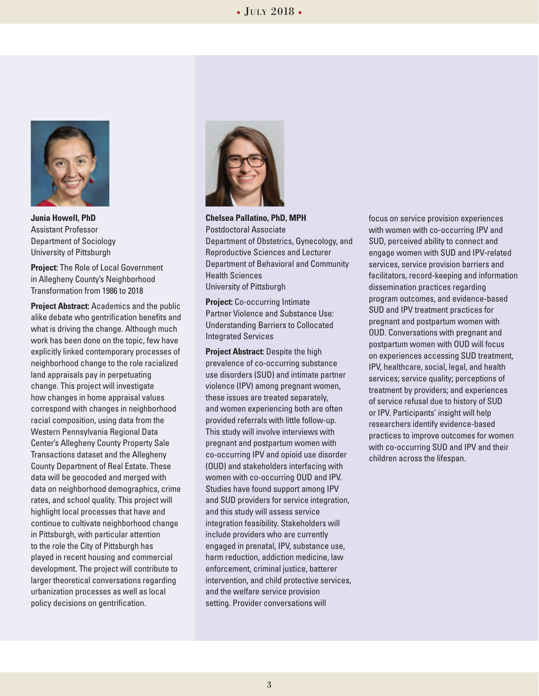#### $\bullet$  July 2018  $\bullet$



**Junia Howell, PhD** Assistant Professor Department of Sociology University of Pittsburgh

**Project:** The Role of Local Government in Allegheny County's Neighborhood Transformation from 1986 to 2018

**Project Abstract:** Academics and the public alike debate who gentrification benefits and what is driving the change. Although much work has been done on the topic, few have explicitly linked contemporary processes of neighborhood change to the role racialized land appraisals pay in perpetuating change. This project will investigate how changes in home appraisal values correspond with changes in neighborhood racial composition, using data from the Western Pennsylvania Regional Data Center's Allegheny County Property Sale Transactions dataset and the Allegheny County Department of Real Estate. These data will be geocoded and merged with data on neighborhood demographics, crime rates, and school quality. This project will highlight local processes that have and continue to cultivate neighborhood change in Pittsburgh, with particular attention to the role the City of Pittsburgh has played in recent housing and commercial development. The project will contribute to larger theoretical conversations regarding urbanization processes as well as local policy decisions on gentrification.



**Chelsea Pallatino, PhD, MPH** Postdoctoral Associate Department of Obstetrics, Gynecology, and Reproductive Sciences and Lecturer Department of Behavioral and Community Health Sciences University of Pittsburgh

**Project:** Co-occurring Intimate Partner Violence and Substance Use: Understanding Barriers to Collocated Integrated Services

**Project Abstract:** Despite the high prevalence of co-occurring substance use disorders (SUD) and intimate partner violence (IPV) among pregnant women, these issues are treated separately, and women experiencing both are often provided referrals with little follow-up. This study will involve interviews with pregnant and postpartum women with co-occurring IPV and opioid use disorder (OUD) and stakeholders interfacing with women with co-occurring OUD and IPV. Studies have found support among IPV and SUD providers for service integration, and this study will assess service integration feasibility. Stakeholders will include providers who are currently engaged in prenatal, IPV, substance use, harm reduction, addiction medicine, law enforcement, criminal justice, batterer intervention, and child protective services, and the welfare service provision setting. Provider conversations will

focus on service provision experiences with women with co-occurring IPV and SUD, perceived ability to connect and engage women with SUD and IPV-related services, service provision barriers and facilitators, record-keeping and information dissemination practices regarding program outcomes, and evidence-based SUD and IPV treatment practices for pregnant and postpartum women with OUD. Conversations with pregnant and postpartum women with OUD will focus on experiences accessing SUD treatment, IPV, healthcare, social, legal, and health services; service quality; perceptions of treatment by providers; and experiences of service refusal due to history of SUD or IPV. Participants' insight will help researchers identify evidence-based practices to improve outcomes for women with co-occurring SUD and IPV and their children across the lifespan.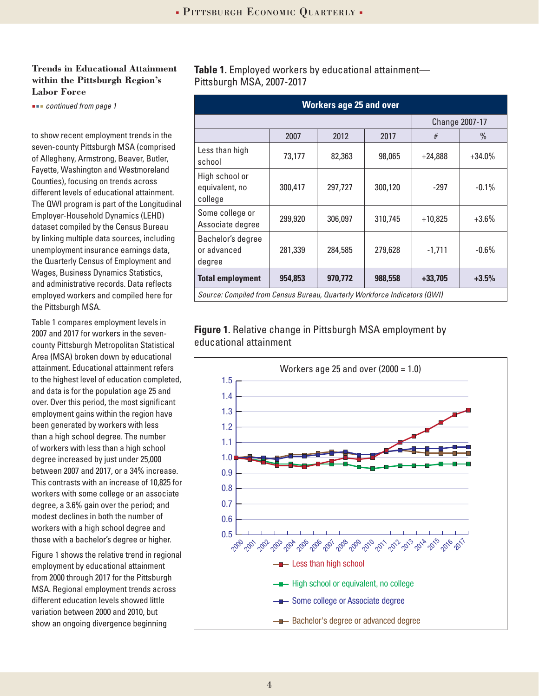#### **Trends in Educational Attainment within the Pittsburgh Region's Labor Force**

**EXECTE 20 and our continued from page 1** 

to show recent employment trends in the seven-county Pittsburgh MSA (comprised of Allegheny, Armstrong, Beaver, Butler, Fayette, Washington and Westmoreland Counties), focusing on trends across different levels of educational attainment. The QWI program is part of the Longitudinal Employer-Household Dynamics (LEHD) dataset compiled by the Census Bureau by linking multiple data sources, including unemployment insurance earnings data, the Quarterly Census of Employment and Wages, Business Dynamics Statistics, and administrative records. Data reflects employed workers and compiled here for the Pittsburgh MSA.

Table 1 compares employment levels in 2007 and 2017 for workers in the sevencounty Pittsburgh Metropolitan Statistical Area (MSA) broken down by educational attainment. Educational attainment refers to the highest level of education completed, and data is for the population age 25 and over. Over this period, the most significant employment gains within the region have been generated by workers with less than a high school degree. The number of workers with less than a high school degree increased by just under 25,000 between 2007 and 2017, or a 34% increase. This contrasts with an increase of 10,825 for workers with some college or an associate degree, a 3.6% gain over the period; and modest declines in both the number of workers with a high school degree and those with a bachelor's degree or higher.

Figure 1 shows the relative trend in regional employment by educational attainment from 2000 through 2017 for the Pittsburgh MSA. Regional employment trends across different education levels showed little variation between 2000 and 2010, but show an ongoing divergence beginning

**Table 1.** Employed workers by educational attainment— Pittsburgh MSA, 2007-2017

| <b>Workers age 25 and over</b>                                            |                       |         |         |           |          |  |  |  |  |
|---------------------------------------------------------------------------|-----------------------|---------|---------|-----------|----------|--|--|--|--|
|                                                                           | <b>Change 2007-17</b> |         |         |           |          |  |  |  |  |
|                                                                           | 2007                  | 2012    | 2017    | #         | $\%$     |  |  |  |  |
| Less than high<br>school                                                  | 73,177                | 82,363  | 98,065  | $+24,888$ | $+34.0%$ |  |  |  |  |
| High school or<br>equivalent, no<br>college                               | 300,417               | 297,727 | 300,120 | $-297$    | $-0.1\%$ |  |  |  |  |
| Some college or<br>Associate degree                                       | 299,920               | 306,097 | 310,745 | $+10,825$ | $+3.6%$  |  |  |  |  |
| Bachelor's degree<br>or advanced<br>degree                                | 281,339               | 284,585 | 279,628 | $-1,711$  | $-0.6%$  |  |  |  |  |
| <b>Total employment</b>                                                   | 954.853               | 970.772 | 988,558 | $+33,705$ | $+3.5%$  |  |  |  |  |
| Source: Compiled from Census Bureau, Quarterly Workforce Indicators (QWI) |                       |         |         |           |          |  |  |  |  |

**Figure 1.** Relative change in Pittsburgh MSA employment by educational attainment

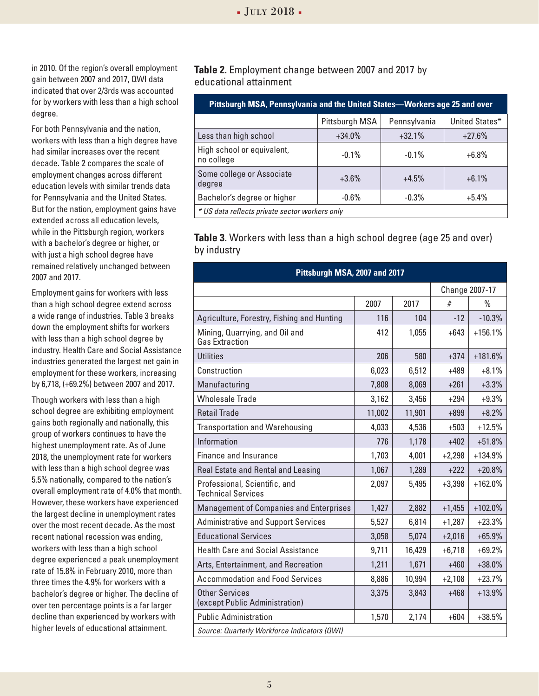in 2010. Of the region's overall employment gain between 2007 and 2017, QWI data indicated that over 2/3rds was accounted for by workers with less than a high school degree.

For both Pennsylvania and the nation, workers with less than a high degree have had similar increases over the recent decade. Table 2 compares the scale of employment changes across different education levels with similar trends data for Pennsylvania and the United States. But for the nation, employment gains have extended across all education levels, while in the Pittsburgh region, workers with a bachelor's degree or higher, or with just a high school degree have remained relatively unchanged between 2007 and 2017.

Employment gains for workers with less than a high school degree extend across a wide range of industries. Table 3 breaks down the employment shifts for workers with less than a high school degree by industry. Health Care and Social Assistance industries generated the largest net gain in employment for these workers, increasing by 6,718, (+69.2%) between 2007 and 2017.

Though workers with less than a high school degree are exhibiting employment gains both regionally and nationally, this group of workers continues to have the highest unemployment rate. As of June 2018, the unemployment rate for workers with less than a high school degree was 5.5% nationally, compared to the nation's overall employment rate of 4.0% that month. However, these workers have experienced the largest decline in unemployment rates over the most recent decade. As the most recent national recession was ending, workers with less than a high school degree experienced a peak unemployment rate of 15.8% in February 2010, more than three times the 4.9% for workers with a bachelor's degree or higher. The decline of over ten percentage points is a far larger decline than experienced by workers with higher levels of educational attainment.

**Table 2.** Employment change between 2007 and 2017 by educational attainment

| Pittsburgh MSA, Pennsylvania and the United States-Workers age 25 and over |                |              |                |  |  |  |  |
|----------------------------------------------------------------------------|----------------|--------------|----------------|--|--|--|--|
|                                                                            | Pittsburgh MSA | Pennsylvania | United States* |  |  |  |  |
| Less than high school                                                      | $+34.0%$       | $+32.1%$     | $+27.6%$       |  |  |  |  |
| High school or equivalent,<br>no college                                   | $-0.1\%$       | $-0.1\%$     | $+6.8%$        |  |  |  |  |
| Some college or Associate<br>degree                                        | $+3.6\%$       | $+4.5%$      | $+6.1%$        |  |  |  |  |
| Bachelor's degree or higher                                                | $-0.6\%$       | $-0.3%$      | $+5.4\%$       |  |  |  |  |
| * US data reflects private sector workers only                             |                |              |                |  |  |  |  |

**Table 3.** Workers with less than a high school degree (age 25 and over) by industry

| Pittsburgh MSA, 2007 and 2017                              |        |        |                |               |  |  |  |  |
|------------------------------------------------------------|--------|--------|----------------|---------------|--|--|--|--|
|                                                            |        |        | Change 2007-17 |               |  |  |  |  |
|                                                            | 2007   | 2017   | #              | $\frac{0}{n}$ |  |  |  |  |
| Agriculture, Forestry, Fishing and Hunting                 | 116    | 104    | $-12$          | $-10.3%$      |  |  |  |  |
| Mining, Quarrying, and Oil and<br><b>Gas Extraction</b>    | 412    | 1,055  | $+643$         | $+156.1%$     |  |  |  |  |
| Utilities                                                  | 206    | 580    | $+374$         | $+181.6%$     |  |  |  |  |
| Construction                                               | 6,023  | 6,512  | $+489$         | $+8.1%$       |  |  |  |  |
| Manufacturing                                              | 7,808  | 8,069  | $+261$         | $+3.3%$       |  |  |  |  |
| <b>Wholesale Trade</b>                                     | 3,162  | 3,456  | $+294$         | $+9.3%$       |  |  |  |  |
| <b>Retail Trade</b>                                        | 11,002 | 11,901 | $+899$         | $+8.2%$       |  |  |  |  |
| <b>Transportation and Warehousing</b>                      | 4,033  | 4,536  | $+503$         | $+12.5%$      |  |  |  |  |
| Information                                                | 776    | 1,178  | $+402$         | $+51.8%$      |  |  |  |  |
| <b>Finance and Insurance</b>                               | 1,703  | 4,001  | $+2,298$       | $+134.9%$     |  |  |  |  |
| Real Estate and Rental and Leasing                         | 1,067  | 1,289  | $+222$         | $+20.8%$      |  |  |  |  |
| Professional, Scientific, and<br><b>Technical Services</b> | 2,097  | 5,495  | $+3,398$       | $+162.0%$     |  |  |  |  |
| <b>Management of Companies and Enterprises</b>             | 1,427  | 2,882  | $+1,455$       | $+102.0%$     |  |  |  |  |
| <b>Administrative and Support Services</b>                 | 5,527  | 6,814  | $+1,287$       | $+23.3%$      |  |  |  |  |
| <b>Educational Services</b>                                | 3,058  | 5,074  | $+2,016$       | $+65.9%$      |  |  |  |  |
| <b>Health Care and Social Assistance</b>                   | 9,711  | 16,429 | $+6,718$       | $+69.2%$      |  |  |  |  |
| Arts, Entertainment, and Recreation                        | 1,211  | 1,671  | $+460$         | $+38.0%$      |  |  |  |  |
| <b>Accommodation and Food Services</b>                     | 8,886  | 10,994 | $+2,108$       | $+23.7%$      |  |  |  |  |
| <b>Other Services</b><br>(except Public Administration)    | 3,375  | 3,843  | $+468$         | $+13.9%$      |  |  |  |  |
| <b>Public Administration</b>                               | 1,570  | 2,174  | $+604$         | $+38.5%$      |  |  |  |  |
| Source: Quarterly Workforce Indicators (QWI)               |        |        |                |               |  |  |  |  |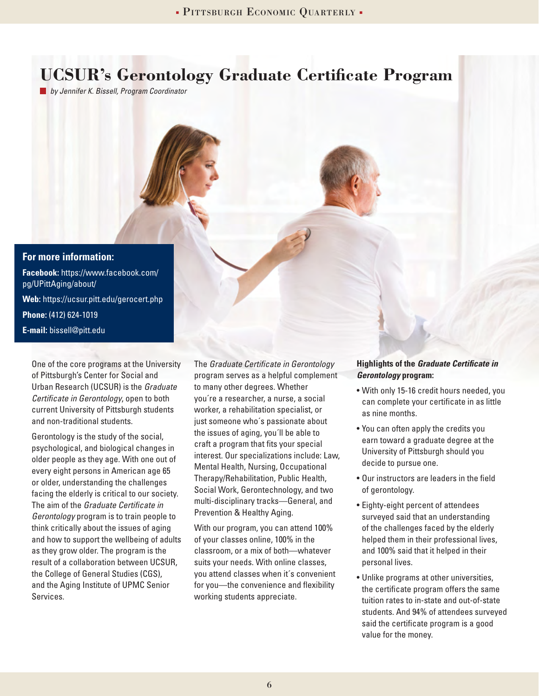### **UCSUR's Gerontology Graduate Certificate Program**

*by Jennifer K. Bissell, Program Coordinator*



One of the core programs at the University of Pittsburgh's Center for Social and Urban Research (UCSUR) is the *Graduate Certificate in Gerontology*, open to both current University of Pittsburgh students and non-traditional students.

Gerontology is the study of the social, psychological, and biological changes in older people as they age. With one out of every eight persons in American age 65 or older, understanding the challenges facing the elderly is critical to our society. The aim of the *Graduate Certificate in Gerontology* program is to train people to think critically about the issues of aging and how to support the wellbeing of adults as they grow older. The program is the result of a collaboration between UCSUR, the College of General Studies (CGS), and the Aging Institute of UPMC Senior Services.

The *Graduate Certificate in Gerontology* program serves as a helpful complement to many other degrees. Whether you´re a researcher, a nurse, a social worker, a rehabilitation specialist, or just someone who´s passionate about the issues of aging, you´ll be able to craft a program that fits your special interest. Our specializations include: Law, Mental Health, Nursing, Occupational Therapy/Rehabilitation, Public Health, Social Work, Gerontechnology, and two multi-disciplinary tracks—General, and Prevention & Healthy Aging.

With our program, you can attend 100% of your classes online, 100% in the classroom, or a mix of both—whatever suits your needs. With online classes, you attend classes when it´s convenient for you—the convenience and flexibility working students appreciate.

#### **Highlights of the** *Graduate Certificate in Gerontology* **program:**

- With only 15-16 credit hours needed, you can complete your certificate in as little as nine months.
- You can often apply the credits you earn toward a graduate degree at the University of Pittsburgh should you decide to pursue one.
- Our instructors are leaders in the field of gerontology.
- Eighty-eight percent of attendees surveyed said that an understanding of the challenges faced by the elderly helped them in their professional lives, and 100% said that it helped in their personal lives.
- Unlike programs at other universities, the certificate program offers the same tuition rates to in-state and out-of-state students. And 94% of attendees surveyed said the certificate program is a good value for the money.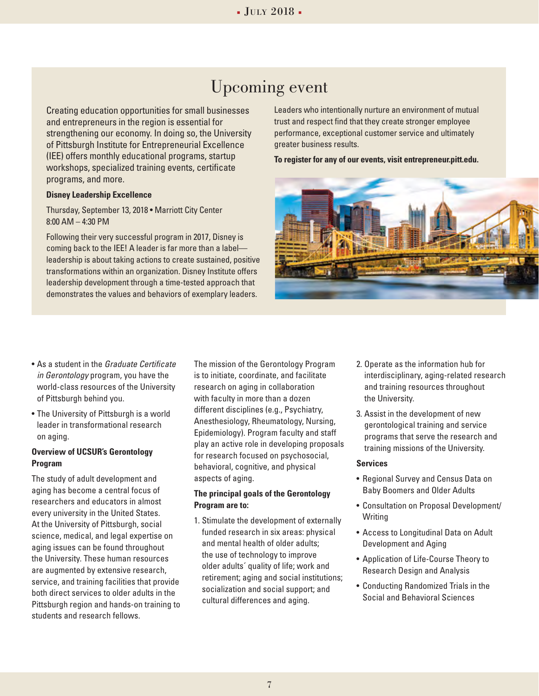### Upcoming event

Creating education opportunities for small businesses and entrepreneurs in the region is essential for strengthening our economy. In doing so, the University of Pittsburgh Institute for Entrepreneurial Excellence (IEE) offers monthly educational programs, startup workshops, specialized training events, certificate programs, and more.

#### **Disney Leadership Excellence**

Thursday, September 13, 2018 • Marriott City Center 8:00 AM – 4:30 PM

Following their very successful program in 2017, Disney is coming back to the IEE! A leader is far more than a label leadership is about taking actions to create sustained, positive transformations within an organization. Disney Institute offers leadership development through a time-tested approach that demonstrates the values and behaviors of exemplary leaders.

Leaders who intentionally nurture an environment of mutual trust and respect find that they create stronger employee performance, exceptional customer service and ultimately greater business results.

**To register for any of our events, visit entrepreneur.pitt.edu.**



- As a student in the *Graduate Certificate in Gerontology* program, you have the world-class resources of the University of Pittsburgh behind you.
- The University of Pittsburgh is a world leader in transformational research on aging.

#### **Overview of UCSUR's Gerontology Program**

The study of adult development and aging has become a central focus of researchers and educators in almost every university in the United States. At the University of Pittsburgh, social science, medical, and legal expertise on aging issues can be found throughout the University. These human resources are augmented by extensive research, service, and training facilities that provide both direct services to older adults in the Pittsburgh region and hands-on training to students and research fellows.

The mission of the Gerontology Program is to initiate, coordinate, and facilitate research on aging in collaboration with faculty in more than a dozen different disciplines (e.g., Psychiatry, Anesthesiology, Rheumatology, Nursing, Epidemiology). Program faculty and staff play an active role in developing proposals for research focused on psychosocial, behavioral, cognitive, and physical aspects of aging.

#### **The principal goals of the Gerontology Program are to:**

1. Stimulate the development of externally funded research in six areas: physical and mental health of older adults; the use of technology to improve older adults´ quality of life; work and retirement; aging and social institutions; socialization and social support; and cultural differences and aging.

- 2. Operate as the information hub for interdisciplinary, aging-related research and training resources throughout the University.
- 3. Assist in the development of new gerontological training and service programs that serve the research and training missions of the University.

#### **Services**

- Regional Survey and Census Data on Baby Boomers and Older Adults
- Consultation on Proposal Development/ **Writing**
- Access to Longitudinal Data on Adult Development and Aging
- Application of Life-Course Theory to Research Design and Analysis
- Conducting Randomized Trials in the Social and Behavioral Sciences